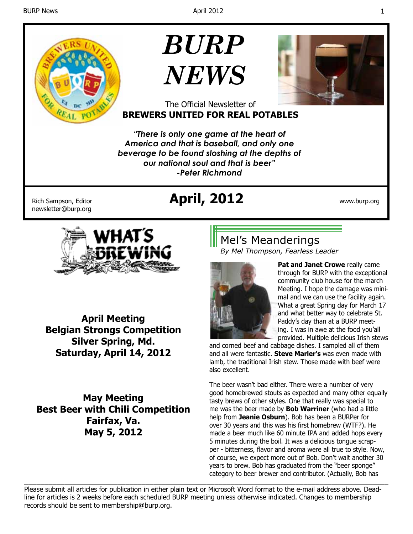

# *BURP NEWS*



#### The Official Newsletter of **BREWERS UNITED FOR REAL POTABLES**

*"There is only one game at the heart of America and that is baseball, and only one beverage to be found sloshing at the depths of our national soul and that is beer" -Peter Richmond*

newsletter@burp.org

## Rich Sampson, Editor **April, 2012** www.burp.org



**April Meeting Belgian Strongs Competition Silver Spring, Md. Saturday, April 14, 2012**

**May Meeting Best Beer with Chili Competition Fairfax, Va. May 5, 2012**

## Mel's Meanderings

*By Mel Thompson, Fearless Leader*



**Pat and Janet Crowe** really came through for BURP with the exceptional community club house for the march Meeting. I hope the damage was minimal and we can use the facility again. What a great Spring day for March 17 and what better way to celebrate St. Paddy's day than at a BURP meeting. I was in awe at the food you'all provided. Multiple delicious Irish stews

and corned beef and cabbage dishes. I sampled all of them and all were fantastic. **Steve Marler's** was even made with lamb, the traditional Irish stew. Those made with beef were also excellent.

The beer wasn't bad either. There were a number of very good homebrewed stouts as expected and many other equally tasty brews of other styles. One that really was special to me was the beer made by **Bob Warriner** (who had a little help from **Jeanie Osburn**). Bob has been a BURPer for over 30 years and this was his first homebrew (WTF?). He made a beer much like 60 minute IPA and added hops every 5 minutes during the boil. It was a delicious tongue scrapper - bitterness, flavor and aroma were all true to style. Now, of course, we expect more out of Bob. Don't wait another 30 years to brew. Bob has graduated from the "beer sponge" category to beer brewer and contributor. (Actually, Bob has

\_\_\_\_\_\_\_\_\_\_\_\_\_\_\_\_\_\_\_\_\_\_\_\_\_\_\_\_\_\_\_\_\_\_\_\_\_\_\_\_\_\_\_\_\_\_\_\_\_\_\_\_\_\_\_\_\_\_\_\_\_\_\_\_\_\_\_\_\_\_\_\_\_\_\_\_\_\_\_\_\_\_\_\_\_\_\_\_\_\_ Please submit all articles for publication in either plain text or Microsoft Word format to the e-mail address above. Deadline for articles is 2 weeks before each scheduled BURP meeting unless otherwise indicated. Changes to membership records should be sent to membership@burp.org.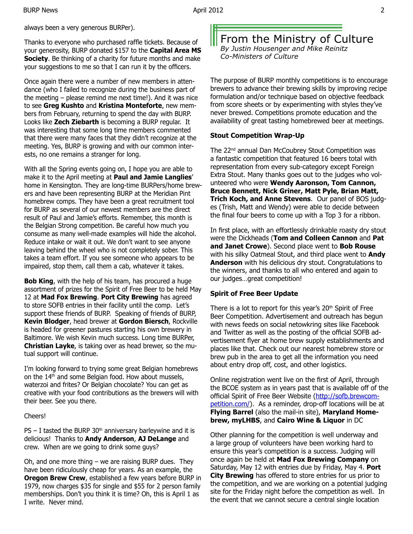always been a very generous BURPer).

Thanks to everyone who purchased raffle tickets. Because of your generosity, BURP donated \$157 to the **Capital Area MS Society**. Be thinking of a charity for future months and make your suggestions to me so that I can run it by the officers.

Once again there were a number of new members in attendance (who I failed to recognize during the business part of the meeting – please remind me next time!). And it was nice to see **Greg Kushto** and **Kristina Monteforte**, new members from February, returning to spend the day with BURP. Looks like **Zech Ziebarth** is becoming a BURP regular. It was interesting that some long time members commented that there were many faces that they didn't recognize at the meeting. Yes, BURP is growing and with our common interests, no one remains a stranger for long.

With all the Spring events going on, I hope you are able to make it to the April meeting at **Paul and Jamie Langlies**' home in Kensington. They are long-time BURPers/home brewers and have been representing BURP at the Meridian Pint homebrew comps. They have been a great recruitment tool for BURP as several of our newest members are the direct result of Paul and Jamie's efforts. Remember, this month is the Belgian Strong competition. Be careful how much you consume as many well-made examples will hide the alcohol. Reduce intake or wait it out. We don't want to see anyone leaving behind the wheel who is not completely sober. This takes a team effort. If you see someone who appears to be impaired, stop them, call them a cab, whatever it takes.

**Bob King**, with the help of his team, has procured a huge assortment of prizes for the Spirit of Free Beer to be held May 12 at **Mad Fox Brewing**. **Port City Brewing** has agreed to store SOFB entries in their facility until the comp. Let's support these friends of BURP. Speaking of friends of BURP, **Kevin Blodger**, head brewer at **Gordon Biersch**, Rockville is headed for greener pastures starting his own brewery in Baltimore. We wish Kevin much success. Long time BURPer, **Christian Layke**, is taking over as head brewer, so the mutual support will continue.

I'm looking forward to trying some great Belgian homebrews on the 14<sup>th</sup> and some Belgian food. How about mussels, waterzoi and frites? Or Belgian chocolate? You can get as creative with your food contributions as the brewers will with their beer. See you there.

#### Cheers!

 $PS - I$  tasted the BURP 30<sup>th</sup> anniversary barleywine and it is delicious! Thanks to **Andy Anderson**, **AJ DeLange** and crew. When are we going to drink some guys?

Oh, and one more thing – we are raising BURP dues. They have been ridiculously cheap for years. As an example, the **Oregon Brew Crew**, established a few years before BURP in 1979, now charges \$35 for single and \$55 for 2 person family memberships. Don't you think it is time? Oh, this is April 1 as I write. Never mind.

From the Ministry of Culture *By Justin Housenger and Mike Reinitz Co-Ministers of Culture*

The purpose of BURP monthly competitions is to encourage brewers to advance their brewing skills by improving recipe formulation and/or technique based on objective feedback from score sheets or by experimenting with styles they've never brewed. Competitions promote education and the availability of great tasting homebrewed beer at meetings.

#### **Stout Competition Wrap-Up**

The 22<sup>nd</sup> annual Dan McCoubrey Stout Competition was a fantastic competition that featured 16 beers total with representation from every sub-category except Foreign Extra Stout. Many thanks goes out to the judges who volunteered who were **Wendy Aaronson, Tom Cannon, Bruce Bennett, Nick Griner, Matt Pyle, Brian Matt, Trich Koch, and Anne Stevens**. Our panel of BOS judges (Trish, Matt and Wendy) were able to decide between the final four beers to come up with a Top 3 for a ribbon.

In first place, with an effortlessly drinkable roasty dry stout were the Dickheads (**Tom and Colleen Cannon** and **Pat and Janet Crowe**). Second place went to **Bob Rouse** with his silky Oatmeal Stout, and third place went to **Andy Anderson** with his delicious dry stout. Congratulations to the winners, and thanks to all who entered and again to our judges…great competition!

#### **Spirit of Free Beer Update**

There is a lot to report for this year's 20<sup>th</sup> Spirit of Free Beer Competition. Advertisement and outreach has begun with news feeds on social netowkring sites like Facebook and Twitter as well as the posting of the official SOFB advertisement flyer at home brew supply establishments and places like that. Check out our nearest homebrew store or brew pub in the area to get all the information you need about entry drop off, cost, and other logistics.

Online registration went live on the first of April, through the BCOE system as in years past that is available off of the official Spirit of Free Beer Website (http://sofb.brewcompetition.com/). As a reminder, drop-off locations will be at **Flying Barrel** (also the mail-in site), **Maryland Homebrew, myLHBS**, and **Cairo Wine & Liquor** in DC

Other planning for the competition is well underway and a large group of volunteers have been working hard to ensure this year's competition is a success. Judging will once again be held at **Mad Fox Brewing Company** on Saturday, May 12 with entries due by Friday, May 4. **Port City Brewing** has offered to store entries for us prior to the competition, and we are working on a potential judging site for the Friday night before the competition as well. In the event that we cannot secure a central single location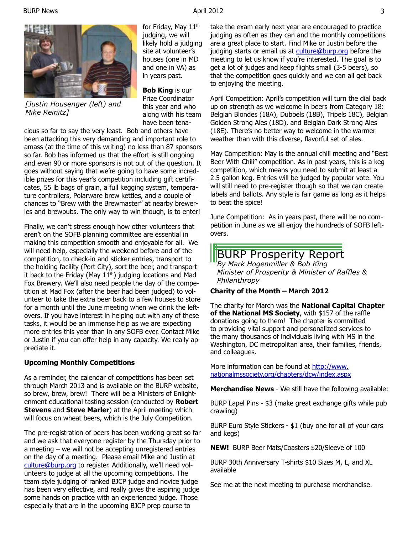

*[Justin Housenger (left) and Mike Reinitz]*

for Friday, May 11<sup>th</sup> judging, we will likely hold a judging site at volunteer's houses (one in MD and one in VA) as in years past.

**Bob King** is our Prize Coordinator this year and who along with his team have been tena-

cious so far to say the very least. Bob and others have been attacking this very demanding and important role to amass (at the time of this writing) no less than 87 sponsors so far. Bob has informed us that the effort is still ongoing and even 90 or more sponsors is not out of the question. It goes without saying that we're going to have some incredible prizes for this year's competition including gift certificates, 55 lb bags of grain, a full kegging system, temperature controllers, Polarware brew kettles, and a couple of chances to "Brew with the Brewmaster" at nearby breweries and brewpubs. The only way to win though, is to enter!

Finally, we can't stress enough how other volunteers that aren't on the SOFB planning committee are essential in making this competition smooth and enjoyable for all. We will need help, especially the weekend before and of the competition, to check-in and sticker entries, transport to the holding facility (Port City), sort the beer, and transport it back to the Friday (May  $11<sup>th</sup>$ ) judging locations and Mad Fox Brewery. We'll also need people the day of the competition at Mad Fox (after the beer had been judged) to volunteer to take the extra beer back to a few houses to store for a month until the June meeting when we drink the leftovers. If you have interest in helping out with any of these tasks, it would be an immense help as we are expecting more entries this year than in any SOFB ever. Contact Mike or Justin if you can offer help in any capacity. We really appreciate it.

#### **Upcoming Monthly Competitions**

As a reminder, the calendar of competitions has been set through March 2013 and is available on the BURP website, so brew, brew, brew! There will be a Ministers of Enlightenment educational tasting session (conducted by **Robert Stevens** and **Steve Marler**) at the April meeting which will focus on wheat beers, which is the July Competition.

The pre-registration of beers has been working great so far and we ask that everyone register by the Thursday prior to a meeting – we will not be accepting unregistered entries on the day of a meeting. Please email Mike and Justin at culture@burp.org to register. Additionally, we'll need volunteers to judge at all the upcoming competitions. The team style judging of ranked BJCP judge and novice judge has been very effective, and really gives the aspiring judge some hands on practice with an experienced judge. Those especially that are in the upcoming BJCP prep course to

take the exam early next year are encouraged to practice judging as often as they can and the monthly competitions are a great place to start. Find Mike or Justin before the judging starts or email us at culture@burp.org before the meeting to let us know if you're interested. The goal is to get a lot of judges and keep flights small (3-5 beers), so that the competition goes quickly and we can all get back to enjoying the meeting.

April Competition: April's competition will turn the dial back up on strength as we welcome in beers from Category 18: Belgian Blondes (18A), Dubbels (18B), Tripels 18C), Belgian Golden Strong Ales (18D), and Belgian Dark Strong Ales (18E). There's no better way to welcome in the warmer weather than with this diverse, flavorful set of ales.

May Competition: May is the annual chili meeting and "Best Beer With Chili" competition. As in past years, this is a keg competition, which means you need to submit at least a 2.5 gallon keg. Entries will be judged by popular vote. You will still need to pre-register though so that we can create labels and ballots. Any style is fair game as long as it helps to beat the spice!

June Competition: As in years past, there will be no competition in June as we all enjoy the hundreds of SOFB leftovers.

## BURP Prosperity Report

*By Mark Hogenmiller & Bob King Minister of Prosperity & Minister of Raffles & Philanthropy*

#### **Charity of the Month – March 2012**

The charity for March was the **National Capital Chapter of the National MS Society**, with \$157 of the raffle donations going to them! The chapter is committed to providing vital support and personalized services to the many thousands of individuals living with MS in the Washington, DC metropolitan area, their families, friends, and colleagues.

More information can be found at http://www. nationalmssociety.org/chapters/dcw/index.aspx

**Merchandise News** - We still have the following available:

BURP Lapel Pins - \$3 (make great exchange gifts while pub crawling)

BURP Euro Style Stickers - \$1 (buy one for all of your cars and kegs)

**NEW!** BURP Beer Mats/Coasters \$20/Sleeve of 100

BURP 30th Anniversary T-shirts \$10 Sizes M, L, and XL available

See me at the next meeting to purchase merchandise.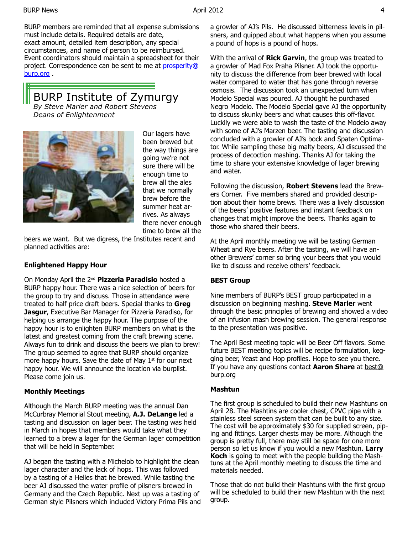BURP members are reminded that all expense submissions must include details. Required details are date, exact amount, detailed item description, any special circumstances, and name of person to be reimbursed. Event coordinators should maintain a spreadsheet for their project. Correspondence can be sent to me at prosperity@ burp.org .

#### BURP Institute of Zymurgy *By Steve Marler and Robert Stevens Deans of Enlightenment*



Our lagers have been brewed but the way things are going we're not sure there will be enough time to brew all the ales that we normally brew before the summer heat arrives. As always there never enough time to brew all the

beers we want. But we digress, the Institutes recent and planned activities are:

#### **Enlightened Happy Hour**

On Monday April the 2nd **Pizzeria Paradisio** hosted a BURP happy hour. There was a nice selection of beers for the group to try and discuss. Those in attendance were treated to half price draft beers. Special thanks to **Greg Jasgur**, Executive Bar Manager for Pizzeria Paradiso, for helping us arrange the happy hour. The purpose of the happy hour is to enlighten BURP members on what is the latest and greatest coming from the craft brewing scene. Always fun to drink and discuss the beers we plan to brew! The group seemed to agree that BURP should organize more happy hours. Save the date of May  $1<sup>st</sup>$  for our next happy hour. We will announce the location via burplist. Please come join us.

#### **Monthly Meetings**

Although the March BURP meeting was the annual Dan McCurbray Memorial Stout meeting, **A.J. DeLange** led a tasting and discussion on lager beer. The tasting was held in March in hopes that members would take what they learned to a brew a lager for the German lager competition that will be held in September.

AJ began the tasting with a Michelob to highlight the clean lager character and the lack of hops. This was followed by a tasting of a Helles that he brewed. While tasting the beer AJ discussed the water profile of pilsners brewed in Germany and the Czech Republic. Next up was a tasting of German style Pilsners which included Victory Prima Pils and a growler of AJ's Pils. He discussed bitterness levels in pilsners, and quipped about what happens when you assume a pound of hops is a pound of hops.

With the arrival of **Rick Garvin**, the group was treated to a growler of Mad Fox Praha Pilsner. AJ took the opportunity to discuss the difference from beer brewed with local water compared to water that has gone through reverse osmosis. The discussion took an unexpected turn when Modelo Special was poured. AJ thought he purchased Negro Modelo. The Modelo Special gave AJ the opportunity to discuss skunky beers and what causes this off-flavor. Luckily we were able to wash the taste of the Modelo away with some of AJ's Marzen beer. The tasting and discussion concluded with a growler of AJ's bock and Spaten Optimator. While sampling these big malty beers, AJ discussed the process of decoction mashing. Thanks AJ for taking the time to share your extensive knowledge of lager brewing and water.

Following the discussion, **Robert Stevens** lead the Brewers Corner. Five members shared and provided description about their home brews. There was a lively discussion of the beers' positive features and instant feedback on changes that might improve the beers. Thanks again to those who shared their beers.

At the April monthly meeting we will be tasting German Wheat and Rye beers. After the tasting, we will have another Brewers' corner so bring your beers that you would like to discuss and receive others' feedback.

#### **BEST Group**

Nine members of BURP's BEST group participated in a discussion on beginning mashing. **Steve Marler** went through the basic principles of brewing and showed a video of an infusion mash brewing session. The general response to the presentation was positive.

The April Best meeting topic will be Beer Off flavors. Some future BEST meeting topics will be recipe formulation, kegging beer, Yeast and Hop profiles. Hope to see you there. If you have any questions contact **Aaron Share** at best@ burp.org

#### **Mashtun**

The first group is scheduled to build their new Mashtuns on April 28. The Mashtins are cooler chest, CPVC pipe with a stainless steel screen system that can be built to any size. The cost will be approximately \$30 for supplied screen, piping and fittings. Larger chests may be more. Although the group is pretty full, there may still be space for one more person so let us know if you would a new Mashtun. **Larry Koch** is going to meet with the people building the Mashtuns at the April monthly meeting to discuss the time and materials needed.

Those that do not build their Mashtuns with the first group will be scheduled to build their new Mashtun with the next group.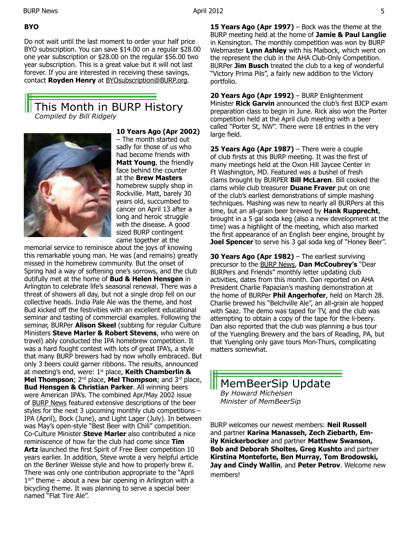**BYO** 

Do not wait until the last moment to order your half price BYO subscription. You can save \$14.00 on a regular \$28.00 one year subscription or \$28.00 on the regular \$56.00 two year subscription. This is a great value but it will not last forever. If you are interested in receiving these savings, contact **Royden Henry** at BYOsubscription@BURP.org.

## This Month in BURP History *Compiled by Bill Ridgely*



**10 Years Ago (Apr 2002)**  – The month started out sadly for those of us who had become friends with **Matt Young**, the friendly face behind the counter at the **Brew Masters**  homebrew supply shop in Rockville. Matt, barely 30 years old, succumbed to cancer on April 13 after a long and heroic struggle with the disease. A good sized BURP contingent came together at the

memorial service to reminisce about the joys of knowing this remarkable young man. He was (and remains) greatly missed in the homebrew community. But the onset of Spring had a way of softening one's sorrows, and the club dutifully met at the home of **Bud & Helen Hensgen** in Arlington to celebrate life's seasonal renewal. There was a threat of showers all day, but not a single drop fell on our collective heads. India Pale Ale was the theme, and host Bud kicked off the festivities with an excellent educational seminar and tasting of commercial examples. Following the seminar, BURPer **Alison Skeel** (subbing for regular Culture Ministers **Steve Marler & Robert Stevens**, who were on travel) ably conducted the IPA homebrew competition. It was a hard fought contest with lots of great IPA's, a style that many BURP brewers had by now wholly embraced. But only 3 beers could garner ribbons. The results, announced at meeting's end, were: 1st place, **Keith Chamberlin & Mel Thompson**; 2nd place, **Mel Thompson**; and 3rd place, **Bud Hensgen & Christian Parker**. All winning beers were American IPA's. The combined Apr/May 2002 issue of BURP News featured extensive descriptions of the beer styles for the next 3 upcoming monthly club competitions – IPA (April), Bock (June), and Light Lager (July). In between was May's open-style "Best Beer with Chili" competition. Co-Culture Minister **Steve Marler** also contributed a nice reminiscence of how far the club had come since **Tim Artz** launched the first Spirit of Free Beer competition 10 years earlier. In addition, Steve wrote a very helpful article on the Berliner Weisse style and how to properly brew it. There was only one contribution appropriate to the "April  $1<sup>st</sup>$  theme – about a new bar opening in Arlington with a bicycling theme. It was planning to serve a special beer named "Flat Tire Ale".

**15 Years Ago (Apr 1997)** – Bock was the theme at the BURP meeting held at the home of **Jamie & Paul Langlie**  in Kensington. The monthly competition was won by BURP Webmaster **Lynn Ashley** with his Maibock, which went on the represent the club in the AHA Club-Only Competition. BURPer **Jim Busch** treated the club to a keg of wonderful "Victory Prima Pils", a fairly new addition to the Victory portfolio.

**20 Years Ago (Apr 1992)** – BURP Enlightenment Minister **Rick Garvin** announced the club's first BJCP exam preparation class to begin in June. Rick also won the Porter competition held at the April club meeting with a beer called "Porter St, NW". There were 18 entries in the very large field.

**25 Years Ago (Apr 1987)** – There were a couple of club firsts at this BURP meeting. It was the first of many meetings held at the Oxon Hill Jaycee Center in Ft Washington, MD. Featured was a bushel of fresh clams brought by BURPER **Bill McLaren**. Bill cooked the clams while club treasurer **Duane Fraver** put on one of the club's earliest demonstrations of simple mashing techniques. Mashing was new to nearly all BURPers at this time, but an all-grain beer brewed by **Hank Rupprecht**, brought in a 5 gal soda keg (also a new development at the time) was a highlight of the meeting, which also marked the first appearance of an English beer engine, brought by **Joel Spencer** to serve his 3 gal soda keg of "Honey Beer".

**30 Years Ago (Apr 1982)** – The earliest surviving precursor to the BURP News, **Dan McCoubrey's** "Dear BURPers and Friends" monthly letter updating club activities, dates from this month. Dan reported on AHA President Charlie Papazian's mashing demonstration at the home of BURPer **Phil Angerhofer**, held on March 28. Charlie brewed his "Belchville Ale", an all-grain ale hopped with Saaz. The demo was taped for TV, and the club was attempting to obtain a copy of the tape for the li-beery. Dan also reported that the club was planning a bus tour of the Yuengling Brewery and the bars of Reading, PA, but that Yuengling only gave tours Mon-Thurs, complicating matters somewhat.

MemBeerSip Update *By Howard Michelsen Minister of MemBeerSip*

BURP welcomes our newest members: **Neil Russell** and partner **Karina Manasseh, Zech Ziebarth, Emily Knickerbocker** and partner **Matthew Swanson, Bob and Deborah Sholtes, Greg Kushto** and partner **Kirstina Monteforte, Ben Murray, Tom Brodowski, Jay and Cindy Wallin**, and **Peter Petrov**. Welcome new members!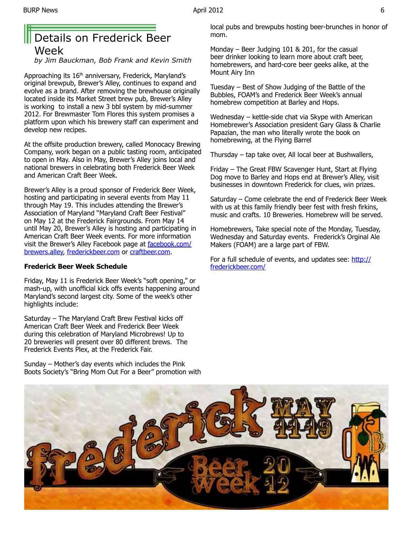## Details on Frederick Beer Week

*by Jim Bauckman, Bob Frank and Kevin Smith*

Approaching its 16<sup>th</sup> anniversary, Frederick, Maryland's original brewpub, Brewer's Alley, continues to expand and evolve as a brand. After removing the brewhouse originally located inside its Market Street brew pub, Brewer's Alley is working to install a new 3 bbl system by mid-summer 2012. For Brewmaster Tom Flores this system promises a platform upon which his brewery staff can experiment and develop new recipes.

At the offsite production brewery, called Monocacy Brewing Company, work began on a public tasting room, anticipated to open in May. Also in May, Brewer's Alley joins local and national brewers in celebrating both Frederick Beer Week and American Craft Beer Week.

Brewer's Alley is a proud sponsor of Frederick Beer Week, hosting and participating in several events from May 11 through May 19. This includes attending the Brewer's Association of Maryland "Maryland Craft Beer Festival" on May 12 at the Frederick Fairgrounds. From May 14 until May 20, Brewer's Alley is hosting and participating in American Craft Beer Week events. For more information visit the Brewer's Alley Facebook page at **facebook.com/** brewers.alley, frederickbeer.com or craftbeer.com.

#### **Frederick Beer Week Schedule**

Friday, May 11 is Frederick Beer Week's "soft opening," or mash-up, with unofficial kick offs events happening around Maryland's second largest city. Some of the week's other highlights include:

Saturday – The Maryland Craft Brew Festival kicks off American Craft Beer Week and Frederick Beer Week during this celebration of Maryland Microbrews! Up to 20 breweries will present over 80 different brews. The Frederick Events Plex, at the Frederick Fair.

Sunday – Mother's day events which includes the Pink Boots Society's "Bring Mom Out For a Beer" promotion with local pubs and brewpubs hosting beer-brunches in honor of mom.

Monday – Beer Judging 101 & 201, for the casual beer drinker looking to learn more about craft beer, homebrewers, and hard-core beer geeks alike, at the Mount Airy Inn

Tuesday – Best of Show Judging of the Battle of the Bubbles, FOAM's and Frederick Beer Week's annual homebrew competition at Barley and Hops.

Wednesday – kettle-side chat via Skype with American Homebrewer's Association president Gary Glass & Charlie Papazian, the man who literally wrote the book on homebrewing, at the Flying Barrel

Thursday – tap take over, All local beer at Bushwallers,

Friday – The Great FBW Scavenger Hunt, Start at Flying Dog move to Barley and Hops end at Brewer's Alley, visit businesses in downtown Frederick for clues, win prizes.

Saturday – Come celebrate the end of Frederick Beer Week with us at this family friendly beer fest with fresh firkins, music and crafts. 10 Breweries. Homebrew will be served.

Homebrewers, Take special note of the Monday, Tuesday, Wednesday and Saturday events. Frederick's Orginal Ale Makers (FOAM) are a large part of FBW.

For a full schedule of events, and updates see: http:// frederickbeer.com/

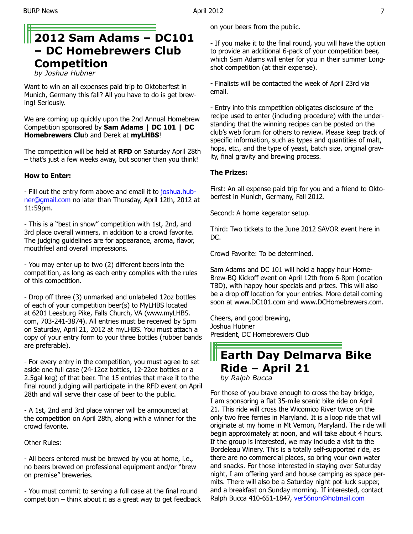## **2012 Sam Adams – DC101 – DC Homebrewers Club Competition**

*by Joshua Hubner*

Want to win an all expenses paid trip to Oktoberfest in Munich, Germany this fall? All you have to do is get brewing! Seriously.

We are coming up quickly upon the 2nd Annual Homebrew Competition sponsored by **Sam Adams | DC 101 | DC Homebrewers Clu**b and Derek at **myLHBS**!

The competition will be held at **RFD** on Saturday April 28th – that's just a few weeks away, but sooner than you think!

#### **How to Enter:**

- Fill out the entry form above and email it to joshua.hubner@gmail.com no later than Thursday, April 12th, 2012 at 11:59pm.

- This is a "best in show" competition with 1st, 2nd, and 3rd place overall winners, in addition to a crowd favorite. The judging guidelines are for appearance, aroma, flavor, mouthfeel and overall impressions.

- You may enter up to two (2) different beers into the competition, as long as each entry complies with the rules of this competition.

- Drop off three (3) unmarked and unlabeled 12oz bottles of each of your competition beer(s) to MyLHBS located at 6201 Leesburg Pike, Falls Church, VA (www.myLHBS. com, 703-241-3874). All entries must be received by 5pm on Saturday, April 21, 2012 at myLHBS. You must attach a copy of your entry form to your three bottles (rubber bands are preferable).

- For every entry in the competition, you must agree to set aside one full case (24-12oz bottles, 12-22oz bottles or a 2.5gal keg) of that beer. The 15 entries that make it to the final round judging will participate in the RFD event on April 28th and will serve their case of beer to the public.

- A 1st, 2nd and 3rd place winner will be announced at the competition on April 28th, along with a winner for the crowd favorite.

Other Rules:

- All beers entered must be brewed by you at home, i.e., no beers brewed on professional equipment and/or "brew on premise" breweries.

- You must commit to serving a full case at the final round  $c$ ompetition – think about it as a great way to get feedback on your beers from the public.

- If you make it to the final round, you will have the option to provide an additional 6-pack of your competition beer, which Sam Adams will enter for you in their summer Longshot competition (at their expense).

- Finalists will be contacted the week of April 23rd via email.

- Entry into this competition obligates disclosure of the recipe used to enter (including procedure) with the understanding that the winning recipes can be posted on the club's web forum for others to review. Please keep track of specific information, such as types and quantities of malt, hops, etc., and the type of yeast, batch size, original gravity, final gravity and brewing process.

#### **The Prizes:**

First: An all expense paid trip for you and a friend to Oktoberfest in Munich, Germany, Fall 2012.

Second: A home kegerator setup.

Third: Two tickets to the June 2012 SAVOR event here in DC.

Crowd Favorite: To be determined.

Sam Adams and DC 101 will hold a happy hour Home-Brew-BQ Kickoff event on April 12th from 6-8pm (location TBD), with happy hour specials and prizes. This will also be a drop off location for your entries. More detail coming soon at www.DC101.com and www.DCHomebrewers.com.

Cheers, and good brewing, Joshua Hubner President, DC Homebrewers Club

## **Earth Day Delmarva Bike Ride – April 21** *by Ralph Bucca*

For those of you brave enough to cross the bay bridge, I am sponsoring a flat 35-mile scenic bike ride on April 21. This ride will cross the Wicomico River twice on the only two free ferries in Maryland. It is a loop ride that will originate at my home in Mt Vernon, Maryland. The ride will begin approximately at noon, and will take about 4 hours. If the group is interested, we may include a visit to the Bordeleau Winery. This is a totally self-supported ride, as there are no commercial places, so bring your own water and snacks. For those interested in staying over Saturday night, I am offering yard and house camping as space permits. There will also be a Saturday night pot-luck supper, and a breakfast on Sunday morning. If interested, contact Ralph Bucca 410-651-1847, ver56non@hotmail.com